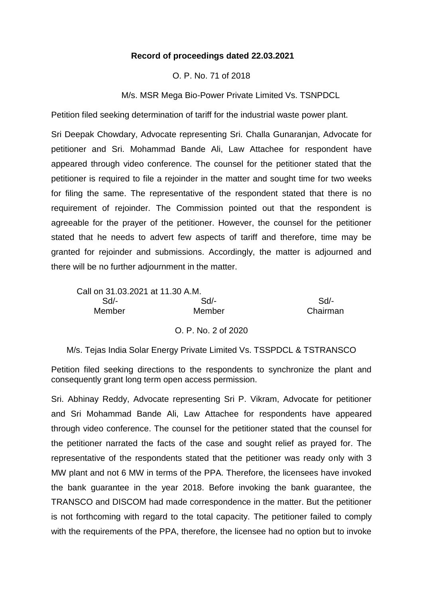## **Record of proceedings dated 22.03.2021**

## O. P. No. 71 of 2018

M/s. MSR Mega Bio-Power Private Limited Vs. TSNPDCL

Petition filed seeking determination of tariff for the industrial waste power plant.

Sri Deepak Chowdary, Advocate representing Sri. Challa Gunaranjan, Advocate for petitioner and Sri. Mohammad Bande Ali, Law Attachee for respondent have appeared through video conference. The counsel for the petitioner stated that the petitioner is required to file a rejoinder in the matter and sought time for two weeks for filing the same. The representative of the respondent stated that there is no requirement of rejoinder. The Commission pointed out that the respondent is agreeable for the prayer of the petitioner. However, the counsel for the petitioner stated that he needs to advert few aspects of tariff and therefore, time may be granted for rejoinder and submissions. Accordingly, the matter is adjourned and there will be no further adjournment in the matter.

| Call on 31,03,2021 at 11,30 A.M. |                     |          |
|----------------------------------|---------------------|----------|
| Sd/-                             | $Sd$ -              | Sd       |
| <b>Member</b>                    | Member              | Chairman |
|                                  | O. P. No. 2 of 2020 |          |

M/s. Tejas India Solar Energy Private Limited Vs. TSSPDCL & TSTRANSCO

Petition filed seeking directions to the respondents to synchronize the plant and consequently grant long term open access permission.

Sri. Abhinay Reddy, Advocate representing Sri P. Vikram, Advocate for petitioner and Sri Mohammad Bande Ali, Law Attachee for respondents have appeared through video conference. The counsel for the petitioner stated that the counsel for the petitioner narrated the facts of the case and sought relief as prayed for. The representative of the respondents stated that the petitioner was ready only with 3 MW plant and not 6 MW in terms of the PPA. Therefore, the licensees have invoked the bank guarantee in the year 2018. Before invoking the bank guarantee, the TRANSCO and DISCOM had made correspondence in the matter. But the petitioner is not forthcoming with regard to the total capacity. The petitioner failed to comply with the requirements of the PPA, therefore, the licensee had no option but to invoke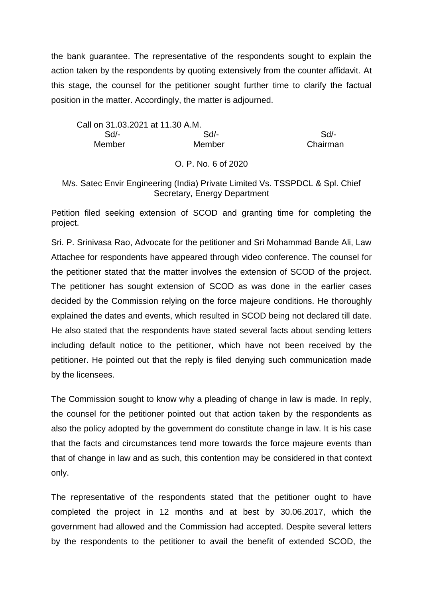the bank guarantee. The representative of the respondents sought to explain the action taken by the respondents by quoting extensively from the counter affidavit. At this stage, the counsel for the petitioner sought further time to clarify the factual position in the matter. Accordingly, the matter is adjourned.

Call on 31.03.2021 at 11.30 A.M. Sd/- Sd/- Sd/- Member Member Chairman

## O. P. No. 6 of 2020

## M/s. Satec Envir Engineering (India) Private Limited Vs. TSSPDCL & Spl. Chief Secretary, Energy Department

Petition filed seeking extension of SCOD and granting time for completing the project.

Sri. P. Srinivasa Rao, Advocate for the petitioner and Sri Mohammad Bande Ali, Law Attachee for respondents have appeared through video conference. The counsel for the petitioner stated that the matter involves the extension of SCOD of the project. The petitioner has sought extension of SCOD as was done in the earlier cases decided by the Commission relying on the force majeure conditions. He thoroughly explained the dates and events, which resulted in SCOD being not declared till date. He also stated that the respondents have stated several facts about sending letters including default notice to the petitioner, which have not been received by the petitioner. He pointed out that the reply is filed denying such communication made by the licensees.

The Commission sought to know why a pleading of change in law is made. In reply, the counsel for the petitioner pointed out that action taken by the respondents as also the policy adopted by the government do constitute change in law. It is his case that the facts and circumstances tend more towards the force majeure events than that of change in law and as such, this contention may be considered in that context only.

The representative of the respondents stated that the petitioner ought to have completed the project in 12 months and at best by 30.06.2017, which the government had allowed and the Commission had accepted. Despite several letters by the respondents to the petitioner to avail the benefit of extended SCOD, the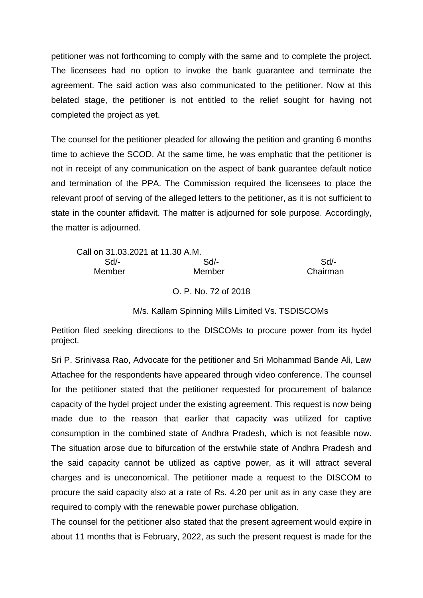petitioner was not forthcoming to comply with the same and to complete the project. The licensees had no option to invoke the bank guarantee and terminate the agreement. The said action was also communicated to the petitioner. Now at this belated stage, the petitioner is not entitled to the relief sought for having not completed the project as yet.

The counsel for the petitioner pleaded for allowing the petition and granting 6 months time to achieve the SCOD. At the same time, he was emphatic that the petitioner is not in receipt of any communication on the aspect of bank guarantee default notice and termination of the PPA. The Commission required the licensees to place the relevant proof of serving of the alleged letters to the petitioner, as it is not sufficient to state in the counter affidavit. The matter is adjourned for sole purpose. Accordingly, the matter is adjourned.

| Call on 31.03.2021 at 11.30 A.M. |        |          |
|----------------------------------|--------|----------|
| Sd/-                             | $Sd$ - | Sd       |
| Member                           | Member | Chairman |

O. P. No. 72 of 2018

M/s. Kallam Spinning Mills Limited Vs. TSDISCOMs

Petition filed seeking directions to the DISCOMs to procure power from its hydel project.

Sri P. Srinivasa Rao, Advocate for the petitioner and Sri Mohammad Bande Ali, Law Attachee for the respondents have appeared through video conference. The counsel for the petitioner stated that the petitioner requested for procurement of balance capacity of the hydel project under the existing agreement. This request is now being made due to the reason that earlier that capacity was utilized for captive consumption in the combined state of Andhra Pradesh, which is not feasible now. The situation arose due to bifurcation of the erstwhile state of Andhra Pradesh and the said capacity cannot be utilized as captive power, as it will attract several charges and is uneconomical. The petitioner made a request to the DISCOM to procure the said capacity also at a rate of Rs. 4.20 per unit as in any case they are required to comply with the renewable power purchase obligation.

The counsel for the petitioner also stated that the present agreement would expire in about 11 months that is February, 2022, as such the present request is made for the